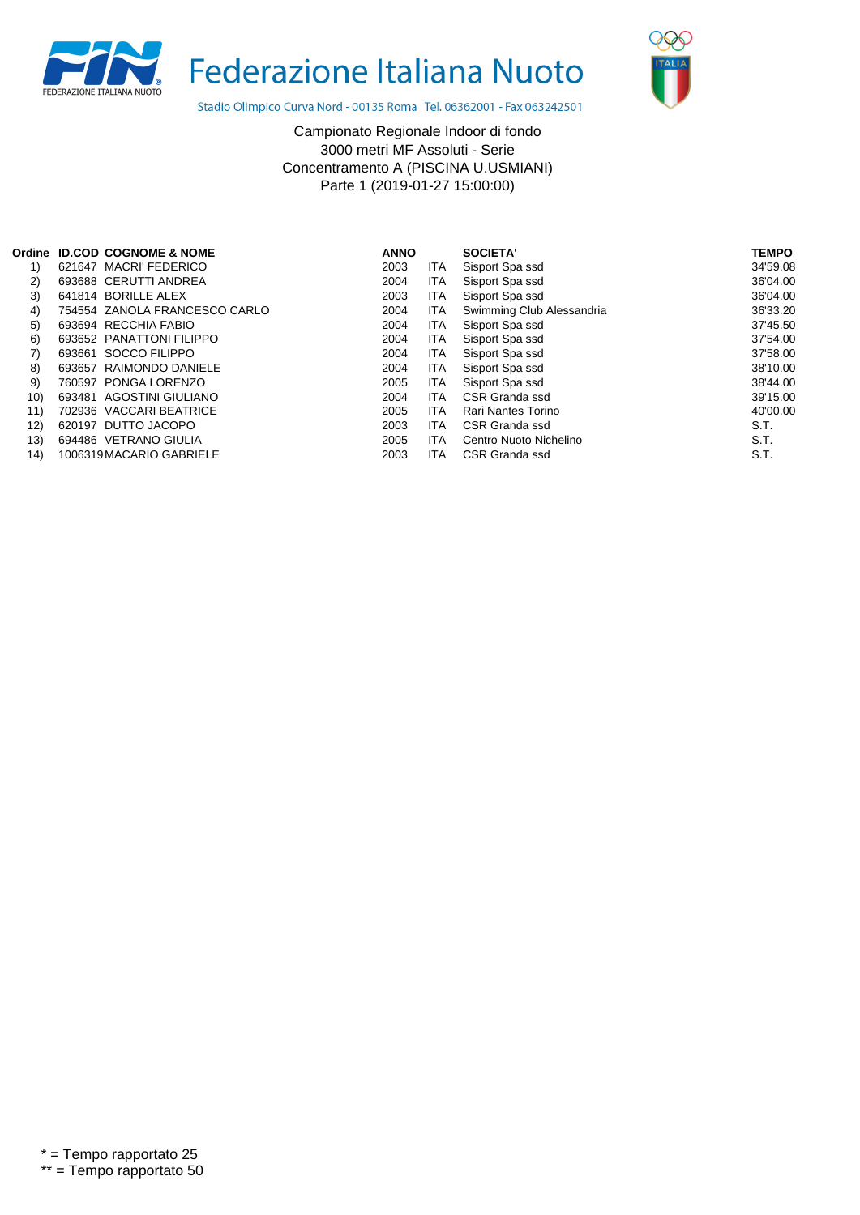

Federazione Italiana Nuoto



Stadio Olimpico Curva Nord - 00135 Roma Tel. 06362001 - Fax 063242501

Campionato Regionale Indoor di fondo 3000 metri MF Assoluti - Serie Concentramento A (PISCINA U.USMIANI) Parte 1 (2019-01-27 15:00:00)

| Ordine |        | <b>ID.COD COGNOME &amp; NOME</b> | <b>ANNO</b> |            | SOCIETA'                  | <b>TEMPO</b> |
|--------|--------|----------------------------------|-------------|------------|---------------------------|--------------|
| 1)     |        | 621647 MACRI FEDERICO            | 2003        | ITA        | Sisport Spa ssd           | 34'59.08     |
| 2)     |        | 693688 CERUTTI ANDREA            | 2004        | <b>ITA</b> | Sisport Spa ssd           | 36'04.00     |
| 3)     |        | 641814 BORILLE ALEX              | 2003        | ITA        | Sisport Spa ssd           | 36'04.00     |
| 4)     |        | 754554 ZANOLA FRANCESCO CARLO    | 2004        | ITA        | Swimming Club Alessandria | 36'33.20     |
| 5)     |        | 693694 RECCHIA FABIO             | 2004        | ITA        | Sisport Spa ssd           | 37'45.50     |
| 6)     |        | 693652 PANATTONI FILIPPO         | 2004        | <b>ITA</b> | Sisport Spa ssd           | 37'54.00     |
| 7)     | 693661 | SOCCO FILIPPO                    | 2004        | ITA.       | Sisport Spa ssd           | 37'58.00     |
| 8)     | 693657 | RAIMONDO DANIELE                 | 2004        | <b>ITA</b> | Sisport Spa ssd           | 38'10.00     |
| 9)     |        | 760597 PONGA LORENZO             | 2005        | <b>ITA</b> | Sisport Spa ssd           | 38'44.00     |
| 10)    |        | 693481 AGOSTINI GIULIANO         | 2004        | <b>ITA</b> | CSR Granda ssd            | 39'15.00     |
| 11)    |        | 702936 VACCARI BEATRICE          | 2005        | <b>ITA</b> | Rari Nantes Torino        | 40'00.00     |
| 12)    |        | 620197 DUTTO JACOPO              | 2003        | <b>ITA</b> | CSR Granda ssd            | S.T.         |
| 13)    |        | 694486 VETRANO GIULIA            | 2005        | <b>ITA</b> | Centro Nuoto Nichelino    | S.T.         |
| 14)    |        | 1006319 MACARIO GABRIELE         | 2003        | <b>ITA</b> | CSR Granda ssd            | S.T.         |